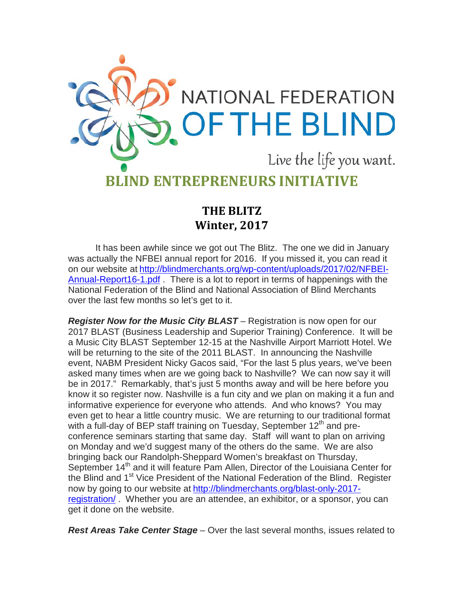

## **THE BLITZ Winter, 2017**

It has been awhile since we got out The Blitz. The one we did in January was actually the NFBEI annual report for 2016. If you missed it, you can read it on our website at [http://blindmerchants.org/wp-content/uploads/2017/02/NFBEI-](http://blindmerchants.org/wp-content/uploads/2017/02/NFBEI-Annual-Report16-1.pdf)[Annual-Report16-1.pdf](http://blindmerchants.org/wp-content/uploads/2017/02/NFBEI-Annual-Report16-1.pdf) . There is a lot to report in terms of happenings with the National Federation of the Blind and National Association of Blind Merchants over the last few months so let's get to it.

*Register Now for the Music City BLAST* – Registration is now open for our 2017 BLAST (Business Leadership and Superior Training) Conference. It will be a Music City BLAST September 12-15 at the Nashville Airport Marriott Hotel. We will be returning to the site of the 2011 BLAST. In announcing the Nashville event, NABM President Nicky Gacos said, "For the last 5 plus years, we've been asked many times when are we going back to Nashville? We can now say it will be in 2017." Remarkably, that's just 5 months away and will be here before you know it so register now. Nashville is a fun city and we plan on making it a fun and informative experience for everyone who attends. And who knows? You may even get to hear a little country music. We are returning to our traditional format with a full-day of BEP staff training on Tuesday, September 12<sup>th</sup> and preconference seminars starting that same day. Staff will want to plan on arriving on Monday and we'd suggest many of the others do the same. We are also bringing back our Randolph-Sheppard Women's breakfast on Thursday, September 14<sup>th</sup> and it will feature Pam Allen, Director of the Louisiana Center for the Blind and 1<sup>st</sup> Vice President of the National Federation of the Blind. Register now by going to our website at [http://blindmerchants.org/blast-only-2017](http://blindmerchants.org/blast-only-2017-registration/) [registration/](http://blindmerchants.org/blast-only-2017-registration/) . Whether you are an attendee, an exhibitor, or a sponsor, you can get it done on the website.

*Rest Areas Take Center Stage* – Over the last several months, issues related to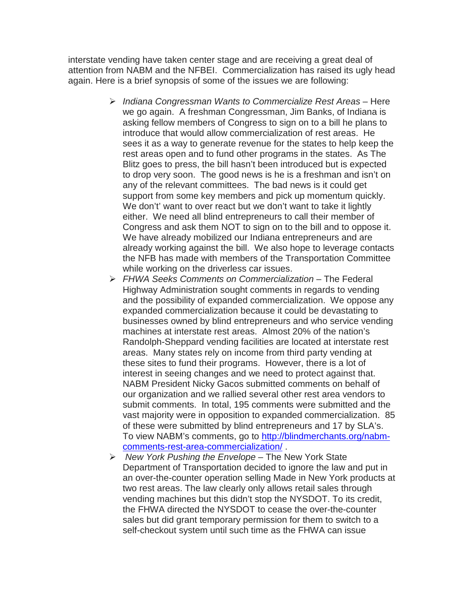interstate vending have taken center stage and are receiving a great deal of attention from NABM and the NFBEI. Commercialization has raised its ugly head again. Here is a brief synopsis of some of the issues we are following:

- *Indiana Congressman Wants to Commercialize Rest Areas* Here we go again. A freshman Congressman, Jim Banks, of Indiana is asking fellow members of Congress to sign on to a bill he plans to introduce that would allow commercialization of rest areas. He sees it as a way to generate revenue for the states to help keep the rest areas open and to fund other programs in the states. As The Blitz goes to press, the bill hasn't been introduced but is expected to drop very soon. The good news is he is a freshman and isn't on any of the relevant committees. The bad news is it could get support from some key members and pick up momentum quickly. We don't' want to over react but we don't want to take it lightly either. We need all blind entrepreneurs to call their member of Congress and ask them NOT to sign on to the bill and to oppose it. We have already mobilized our Indiana entrepreneurs and are already working against the bill. We also hope to leverage contacts the NFB has made with members of the Transportation Committee while working on the driverless car issues.
- *FHWA Seeks Comments on Commercialization* The Federal Highway Administration sought comments in regards to vending and the possibility of expanded commercialization. We oppose any expanded commercialization because it could be devastating to businesses owned by blind entrepreneurs and who service vending machines at interstate rest areas. Almost 20% of the nation's Randolph-Sheppard vending facilities are located at interstate rest areas. Many states rely on income from third party vending at these sites to fund their programs. However, there is a lot of interest in seeing changes and we need to protect against that. NABM President Nicky Gacos submitted comments on behalf of our organization and we rallied several other rest area vendors to submit comments. In total, 195 comments were submitted and the vast majority were in opposition to expanded commercialization. 85 of these were submitted by blind entrepreneurs and 17 by SLA's. To view NABM's comments, go to [http://blindmerchants.org/nabm](http://blindmerchants.org/nabm-comments-rest-area-commercialization/)[comments-rest-area-commercialization/](http://blindmerchants.org/nabm-comments-rest-area-commercialization/) .
- *New York Pushing the Envelope* The New York State Department of Transportation decided to ignore the law and put in an over-the-counter operation selling Made in New York products at two rest areas. The law clearly only allows retail sales through vending machines but this didn't stop the NYSDOT. To its credit, the FHWA directed the NYSDOT to cease the over-the-counter sales but did grant temporary permission for them to switch to a self-checkout system until such time as the FHWA can issue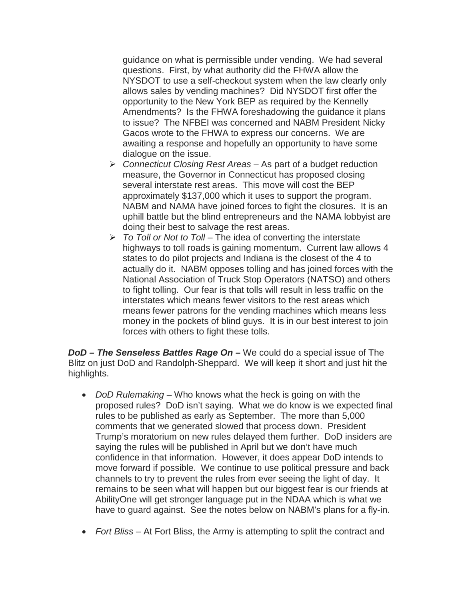guidance on what is permissible under vending. We had several questions. First, by what authority did the FHWA allow the NYSDOT to use a self-checkout system when the law clearly only allows sales by vending machines? Did NYSDOT first offer the opportunity to the New York BEP as required by the Kennelly Amendments? Is the FHWA foreshadowing the guidance it plans to issue? The NFBEI was concerned and NABM President Nicky Gacos wrote to the FHWA to express our concerns. We are awaiting a response and hopefully an opportunity to have some dialogue on the issue.

- *Connecticut Closing Rest Areas* As part of a budget reduction measure, the Governor in Connecticut has proposed closing several interstate rest areas. This move will cost the BEP approximately \$137,000 which it uses to support the program. NABM and NAMA have joined forces to fight the closures. It is an uphill battle but the blind entrepreneurs and the NAMA lobbyist are doing their best to salvage the rest areas.
- *To Toll or Not to Toll* The idea of converting the interstate highways to toll roads is gaining momentum. Current law allows 4 states to do pilot projects and Indiana is the closest of the 4 to actually do it. NABM opposes tolling and has joined forces with the National Association of Truck Stop Operators (NATSO) and others to fight tolling. Our fear is that tolls will result in less traffic on the interstates which means fewer visitors to the rest areas which means fewer patrons for the vending machines which means less money in the pockets of blind guys. It is in our best interest to join forces with others to fight these tolls.

*DoD – The Senseless Battles Rage On –* We could do a special issue of The Blitz on just DoD and Randolph-Sheppard. We will keep it short and just hit the highlights.

- *DoD Rulemaking*  Who knows what the heck is going on with the proposed rules? DoD isn't saying. What we do know is we expected final rules to be published as early as September. The more than 5,000 comments that we generated slowed that process down. President Trump's moratorium on new rules delayed them further. DoD insiders are saying the rules will be published in April but we don't have much confidence in that information. However, it does appear DoD intends to move forward if possible. We continue to use political pressure and back channels to try to prevent the rules from ever seeing the light of day. It remains to be seen what will happen but our biggest fear is our friends at AbilityOne will get stronger language put in the NDAA which is what we have to guard against. See the notes below on NABM's plans for a fly-in.
- *Fort Bliss* At Fort Bliss, the Army is attempting to split the contract and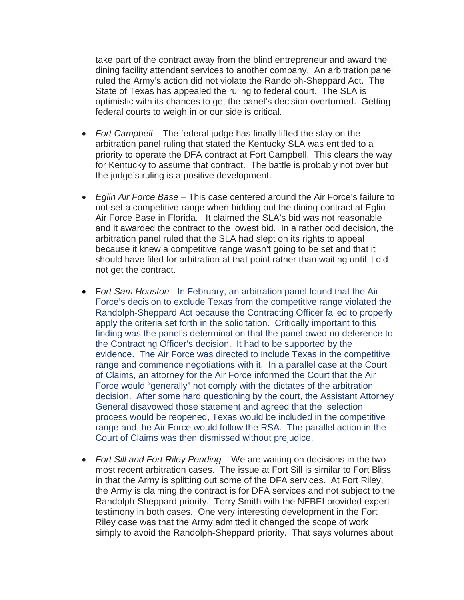take part of the contract away from the blind entrepreneur and award the dining facility attendant services to another company. An arbitration panel ruled the Army's action did not violate the Randolph-Sheppard Act. The State of Texas has appealed the ruling to federal court. The SLA is optimistic with its chances to get the panel's decision overturned. Getting federal courts to weigh in or our side is critical.

- *Fort Campbell* The federal judge has finally lifted the stay on the arbitration panel ruling that stated the Kentucky SLA was entitled to a priority to operate the DFA contract at Fort Campbell. This clears the way for Kentucky to assume that contract. The battle is probably not over but the judge's ruling is a positive development.
- *Eglin Air Force Base* This case centered around the Air Force's failure to not set a competitive range when bidding out the dining contract at Eglin Air Force Base in Florida. It claimed the SLA's bid was not reasonable and it awarded the contract to the lowest bid. In a rather odd decision, the arbitration panel ruled that the SLA had slept on its rights to appeal because it knew a competitive range wasn't going to be set and that it should have filed for arbitration at that point rather than waiting until it did not get the contract.
- F*ort Sam Houston* In February, an arbitration panel found that the Air Force's decision to exclude Texas from the competitive range violated the Randolph-Sheppard Act because the Contracting Officer failed to properly apply the criteria set forth in the solicitation. Critically important to this finding was the panel's determination that the panel owed no deference to the Contracting Officer's decision. It had to be supported by the evidence. The Air Force was directed to include Texas in the competitive range and commence negotiations with it. In a parallel case at the Court of Claims, an attorney for the Air Force informed the Court that the Air Force would "generally" not comply with the dictates of the arbitration decision. After some hard questioning by the court, the Assistant Attorney General disavowed those statement and agreed that the selection process would be reopened, Texas would be included in the competitive range and the Air Force would follow the RSA. The parallel action in the Court of Claims was then dismissed without prejudice.
- *Fort Sill and Fort Riley Pending* We are waiting on decisions in the two most recent arbitration cases. The issue at Fort Sill is similar to Fort Bliss in that the Army is splitting out some of the DFA services. At Fort Riley, the Army is claiming the contract is for DFA services and not subject to the Randolph-Sheppard priority. Terry Smith with the NFBEI provided expert testimony in both cases. One very interesting development in the Fort Riley case was that the Army admitted it changed the scope of work simply to avoid the Randolph-Sheppard priority. That says volumes about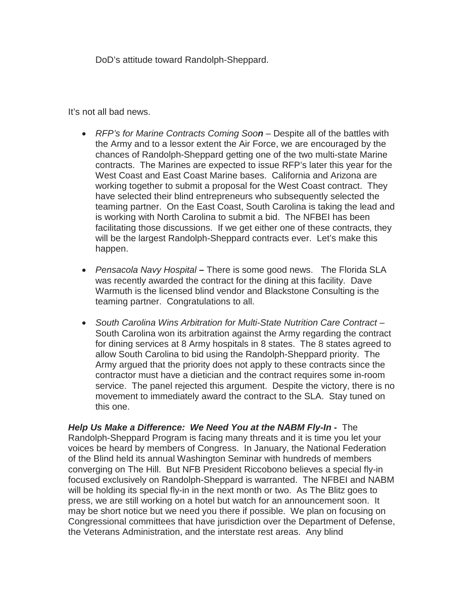DoD's attitude toward Randolph-Sheppard.

It's not all bad news.

- *RFP's for Marine Contracts Coming Soon* Despite all of the battles with the Army and to a lessor extent the Air Force, we are encouraged by the chances of Randolph-Sheppard getting one of the two multi-state Marine contracts. The Marines are expected to issue RFP's later this year for the West Coast and East Coast Marine bases. California and Arizona are working together to submit a proposal for the West Coast contract. They have selected their blind entrepreneurs who subsequently selected the teaming partner. On the East Coast, South Carolina is taking the lead and is working with North Carolina to submit a bid. The NFBEI has been facilitating those discussions. If we get either one of these contracts, they will be the largest Randolph-Sheppard contracts ever. Let's make this happen.
- *Pensacola Navy Hospital –* There is some good news. The Florida SLA was recently awarded the contract for the dining at this facility. Dave Warmuth is the licensed blind vendor and Blackstone Consulting is the teaming partner. Congratulations to all.
- *South Carolina Wins Arbitration for Multi-State Nutrition Care Contract –* South Carolina won its arbitration against the Army regarding the contract for dining services at 8 Army hospitals in 8 states. The 8 states agreed to allow South Carolina to bid using the Randolph-Sheppard priority. The Army argued that the priority does not apply to these contracts since the contractor must have a dietician and the contract requires some in-room service. The panel rejected this argument. Despite the victory, there is no movement to immediately award the contract to the SLA. Stay tuned on this one.

*Help Us Make a Difference: We Need You at the NABM Fly-In -* The Randolph-Sheppard Program is facing many threats and it is time you let your voices be heard by members of Congress. In January, the National Federation of the Blind held its annual Washington Seminar with hundreds of members converging on The Hill. But NFB President Riccobono believes a special fly-in focused exclusively on Randolph-Sheppard is warranted. The NFBEI and NABM will be holding its special fly-in in the next month or two. As The Blitz goes to press, we are still working on a hotel but watch for an announcement soon. It may be short notice but we need you there if possible. We plan on focusing on Congressional committees that have jurisdiction over the Department of Defense, the Veterans Administration, and the interstate rest areas. Any blind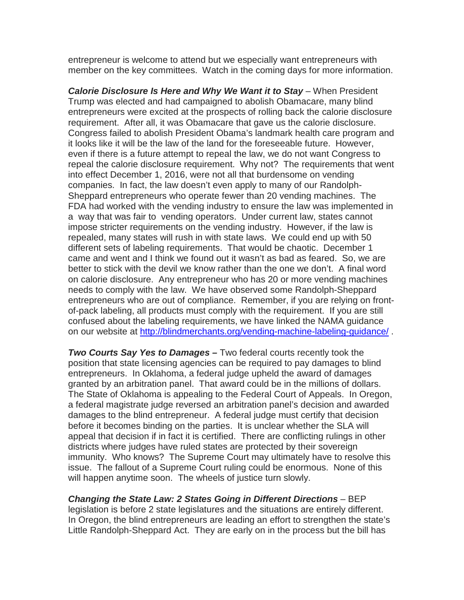entrepreneur is welcome to attend but we especially want entrepreneurs with member on the key committees. Watch in the coming days for more information.

*Calorie Disclosure Is Here and Why We Want it to Stay* – When President Trump was elected and had campaigned to abolish Obamacare, many blind entrepreneurs were excited at the prospects of rolling back the calorie disclosure requirement. After all, it was Obamacare that gave us the calorie disclosure. Congress failed to abolish President Obama's landmark health care program and it looks like it will be the law of the land for the foreseeable future. However, even if there is a future attempt to repeal the law, we do not want Congress to repeal the calorie disclosure requirement. Why not? The requirements that went into effect December 1, 2016, were not all that burdensome on vending companies. In fact, the law doesn't even apply to many of our Randolph-Sheppard entrepreneurs who operate fewer than 20 vending machines. The FDA had worked with the vending industry to ensure the law was implemented in a way that was fair to vending operators. Under current law, states cannot impose stricter requirements on the vending industry. However, if the law is repealed, many states will rush in with state laws. We could end up with 50 different sets of labeling requirements. That would be chaotic. December 1 came and went and I think we found out it wasn't as bad as feared. So, we are better to stick with the devil we know rather than the one we don't. A final word on calorie disclosure. Any entrepreneur who has 20 or more vending machines needs to comply with the law. We have observed some Randolph-Sheppard entrepreneurs who are out of compliance. Remember, if you are relying on frontof-pack labeling, all products must comply with the requirement. If you are still confused about the labeling requirements, we have linked the NAMA guidance on our website at<http://blindmerchants.org/vending-machine-labeling-guidance/>.

*Two Courts Say Yes to Damages –* Two federal courts recently took the position that state licensing agencies can be required to pay damages to blind entrepreneurs. In Oklahoma, a federal judge upheld the award of damages granted by an arbitration panel. That award could be in the millions of dollars. The State of Oklahoma is appealing to the Federal Court of Appeals. In Oregon, a federal magistrate judge reversed an arbitration panel's decision and awarded damages to the blind entrepreneur. A federal judge must certify that decision before it becomes binding on the parties. It is unclear whether the SLA will appeal that decision if in fact it is certified. There are conflicting rulings in other districts where judges have ruled states are protected by their sovereign immunity. Who knows? The Supreme Court may ultimately have to resolve this issue. The fallout of a Supreme Court ruling could be enormous. None of this will happen anytime soon. The wheels of justice turn slowly.

*Changing the State Law: 2 States Going in Different Directions* – BEP legislation is before 2 state legislatures and the situations are entirely different. In Oregon, the blind entrepreneurs are leading an effort to strengthen the state's Little Randolph-Sheppard Act. They are early on in the process but the bill has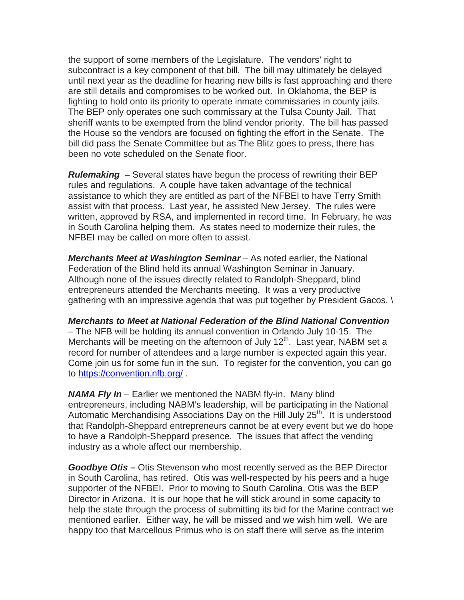the support of some members of the Legislature. The vendors' right to subcontract is a key component of that bill. The bill may ultimately be delayed until next year as the deadline for hearing new bills is fast approaching and there are still details and compromises to be worked out. In Oklahoma, the BEP is fighting to hold onto its priority to operate inmate commissaries in county jails. The BEP only operates one such commissary at the Tulsa County Jail. That sheriff wants to be exempted from the blind vendor priority. The bill has passed the House so the vendors are focused on fighting the effort in the Senate. The bill did pass the Senate Committee but as The Blitz goes to press, there has been no vote scheduled on the Senate floor.

*Rulemaking* – Several states have begun the process of rewriting their BEP rules and regulations. A couple have taken advantage of the technical assistance to which they are entitled as part of the NFBEI to have Terry Smith assist with that process. Last year, he assisted New Jersey. The rules were written, approved by RSA, and implemented in record time. In February, he was in South Carolina helping them. As states need to modernize their rules, the NFBEI may be called on more often to assist.

*Merchants Meet at Washington Seminar* – As noted earlier, the National Federation of the Blind held its annual Washington Seminar in January. Although none of the issues directly related to Randolph-Sheppard, blind entrepreneurs attended the Merchants meeting. It was a very productive gathering with an impressive agenda that was put together by President Gacos. \

*Merchants to Meet at National Federation of the Blind National Convention* – The NFB will be holding its annual convention in Orlando July 10-15. The Merchants will be meeting on the afternoon of July  $12<sup>th</sup>$ . Last year, NABM set a record for number of attendees and a large number is expected again this year. Come join us for some fun in the sun. To register for the convention, you can go to<https://convention.nfb.org/> .

*NAMA Fly In* – Earlier we mentioned the NABM fly-in. Many blind entrepreneurs, including NABM's leadership, will be participating in the National Automatic Merchandising Associations Day on the Hill July 25<sup>th</sup>. It is understood that Randolph-Sheppard entrepreneurs cannot be at every event but we do hope to have a Randolph-Sheppard presence. The issues that affect the vending industry as a whole affect our membership.

*Goodbye Otis –* Otis Stevenson who most recently served as the BEP Director in South Carolina, has retired. Otis was well-respected by his peers and a huge supporter of the NFBEI. Prior to moving to South Carolina, Otis was the BEP Director in Arizona. It is our hope that he will stick around in some capacity to help the state through the process of submitting its bid for the Marine contract we mentioned earlier. Either way, he will be missed and we wish him well. We are happy too that Marcellous Primus who is on staff there will serve as the interim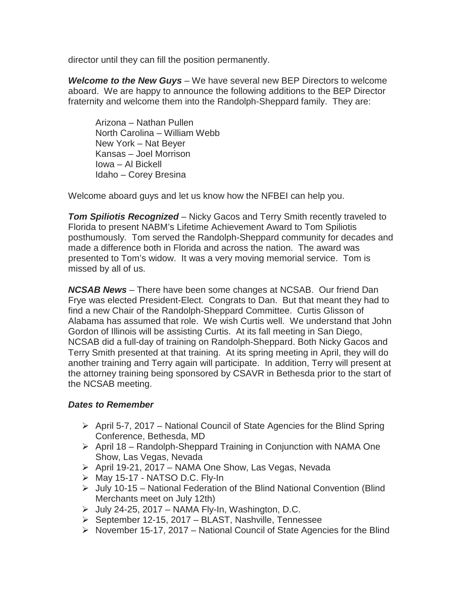director until they can fill the position permanently.

*Welcome to the New Guys* – We have several new BEP Directors to welcome aboard. We are happy to announce the following additions to the BEP Director fraternity and welcome them into the Randolph-Sheppard family. They are:

Arizona – Nathan Pullen North Carolina – William Webb New York – Nat Beyer Kansas – Joel Morrison Iowa – Al Bickell Idaho – Corey Bresina

Welcome aboard guys and let us know how the NFBEI can help you.

*Tom Spiliotis Recognized* – Nicky Gacos and Terry Smith recently traveled to Florida to present NABM's Lifetime Achievement Award to Tom Spiliotis posthumously. Tom served the Randolph-Sheppard community for decades and made a difference both in Florida and across the nation. The award was presented to Tom's widow. It was a very moving memorial service. Tom is missed by all of us.

*NCSAB News* – There have been some changes at NCSAB. Our friend Dan Frye was elected President-Elect. Congrats to Dan. But that meant they had to find a new Chair of the Randolph-Sheppard Committee. Curtis Glisson of Alabama has assumed that role. We wish Curtis well. We understand that John Gordon of Illinois will be assisting Curtis. At its fall meeting in San Diego, NCSAB did a full-day of training on Randolph-Sheppard. Both Nicky Gacos and Terry Smith presented at that training. At its spring meeting in April, they will do another training and Terry again will participate. In addition, Terry will present at the attorney training being sponsored by CSAVR in Bethesda prior to the start of the NCSAB meeting.

## *Dates to Remember*

- $\triangleright$  April 5-7, 2017 National Council of State Agencies for the Blind Spring Conference, Bethesda, MD
- $\triangleright$  April 18 Randolph-Sheppard Training in Conjunction with NAMA One Show, Las Vegas, Nevada
- ▶ April 19-21, 2017 NAMA One Show, Las Vegas, Nevada
- $\triangleright$  May 15-17 NATSO D.C. Fly-In
- $\triangleright$  July 10-15 National Federation of the Blind National Convention (Blind Merchants meet on July 12th)
- $\triangleright$  July 24-25, 2017 NAMA Fly-In, Washington, D.C.
- $\triangleright$  September 12-15, 2017 BLAST, Nashville, Tennessee
- $\triangleright$  November 15-17, 2017 National Council of State Agencies for the Blind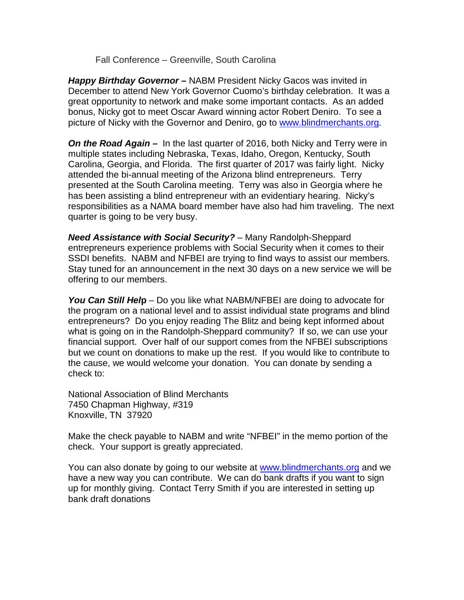Fall Conference – Greenville, South Carolina

*Happy Birthday Governor –* NABM President Nicky Gacos was invited in December to attend New York Governor Cuomo's birthday celebration. It was a great opportunity to network and make some important contacts. As an added bonus, Nicky got to meet Oscar Award winning actor Robert Deniro. To see a picture of Nicky with the Governor and Deniro, go to [www.blindmerchants.org.](http://www.blindmerchants.org/)

*On the Road Again –* In the last quarter of 2016, both Nicky and Terry were in multiple states including Nebraska, Texas, Idaho, Oregon, Kentucky, South Carolina, Georgia, and Florida. The first quarter of 2017 was fairly light. Nicky attended the bi-annual meeting of the Arizona blind entrepreneurs. Terry presented at the South Carolina meeting. Terry was also in Georgia where he has been assisting a blind entrepreneur with an evidentiary hearing. Nicky's responsibilities as a NAMA board member have also had him traveling. The next quarter is going to be very busy.

*Need Assistance with Social Security?* – Many Randolph-Sheppard entrepreneurs experience problems with Social Security when it comes to their SSDI benefits. NABM and NFBEI are trying to find ways to assist our members. Stay tuned for an announcement in the next 30 days on a new service we will be offering to our members.

*You Can Still Hel***p** – Do you like what NABM/NFBEI are doing to advocate for the program on a national level and to assist individual state programs and blind entrepreneurs? Do you enjoy reading The Blitz and being kept informed about what is going on in the Randolph-Sheppard community? If so, we can use your financial support. Over half of our support comes from the NFBEI subscriptions but we count on donations to make up the rest. If you would like to contribute to the cause, we would welcome your donation. You can donate by sending a check to:

National Association of Blind Merchants 7450 Chapman Highway, #319 Knoxville, TN 37920

Make the check payable to NABM and write "NFBEI" in the memo portion of the check. Your support is greatly appreciated.

You can also donate by going to our website at [www.blindmerchants.org](http://www.blindmerchants.org/) and we have a new way you can contribute. We can do bank drafts if you want to sign up for monthly giving. Contact Terry Smith if you are interested in setting up bank draft donations